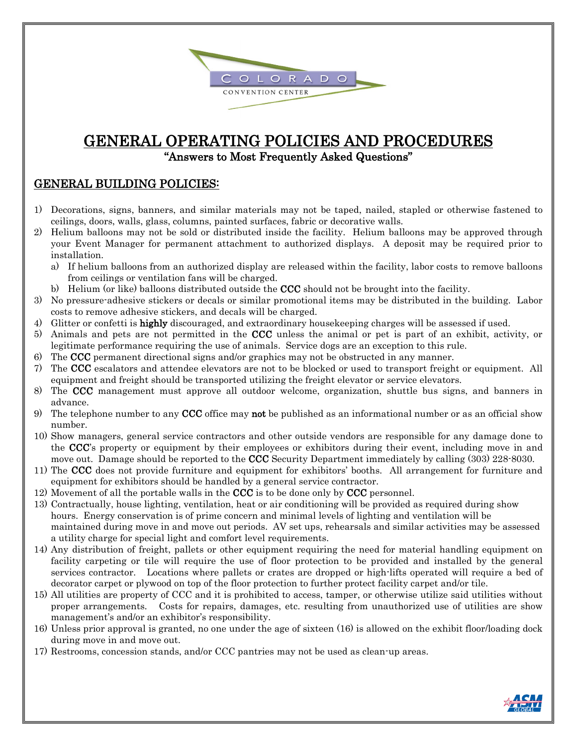

# GENERAL OPERATING POLICIES AND PROCEDURES "Answers to Most Frequently Asked Questions"

#### GENERAL BUILDING POLICIES:

- 1) Decorations, signs, banners, and similar materials may not be taped, nailed, stapled or otherwise fastened to ceilings, doors, walls, glass, columns, painted surfaces, fabric or decorative walls.
- 2) Helium balloons may not be sold or distributed inside the facility. Helium balloons may be approved through your Event Manager for permanent attachment to authorized displays. A deposit may be required prior to installation.
	- a) If helium balloons from an authorized display are released within the facility, labor costs to remove balloons from ceilings or ventilation fans will be charged.
	- b) Helium (or like) balloons distributed outside the CCC should not be brought into the facility.
- 3) No pressure-adhesive stickers or decals or similar promotional items may be distributed in the building. Labor costs to remove adhesive stickers, and decals will be charged.
- 4) Glitter or confetti is highly discouraged, and extraordinary housekeeping charges will be assessed if used.
- 5) Animals and pets are not permitted in the CCC unless the animal or pet is part of an exhibit, activity, or legitimate performance requiring the use of animals. Service dogs are an exception to this rule.
- 6) The CCC permanent directional signs and/or graphics may not be obstructed in any manner.
- 7) The CCC escalators and attendee elevators are not to be blocked or used to transport freight or equipment. All equipment and freight should be transported utilizing the freight elevator or service elevators.
- 8) The CCC management must approve all outdoor welcome, organization, shuttle bus signs, and banners in advance.
- 9) The telephone number to any CCC office may not be published as an informational number or as an official show number.
- 10) Show managers, general service contractors and other outside vendors are responsible for any damage done to the CCC's property or equipment by their employees or exhibitors during their event, including move in and move out. Damage should be reported to the CCC Security Department immediately by calling (303) 228-8030.
- 11) The CCC does not provide furniture and equipment for exhibitors' booths. All arrangement for furniture and equipment for exhibitors should be handled by a general service contractor.
- 12) Movement of all the portable walls in the  $CCC$  is to be done only by  $CCC$  personnel.
- 13) Contractually, house lighting, ventilation, heat or air conditioning will be provided as required during show hours. Energy conservation is of prime concern and minimal levels of lighting and ventilation will be maintained during move in and move out periods. AV set ups, rehearsals and similar activities may be assessed a utility charge for special light and comfort level requirements.
- 14) Any distribution of freight, pallets or other equipment requiring the need for material handling equipment on facility carpeting or tile will require the use of floor protection to be provided and installed by the general services contractor. Locations where pallets or crates are dropped or high-lifts operated will require a bed of decorator carpet or plywood on top of the floor protection to further protect facility carpet and/or tile.
- 15) All utilities are property of CCC and it is prohibited to access, tamper, or otherwise utilize said utilities without proper arrangements. Costs for repairs, damages, etc. resulting from unauthorized use of utilities are show management's and/or an exhibitor's responsibility.
- 16) Unless prior approval is granted, no one under the age of sixteen (16) is allowed on the exhibit floor/loading dock during move in and move out.
- 17) Restrooms, concession stands, and/or CCC pantries may not be used as clean-up areas.

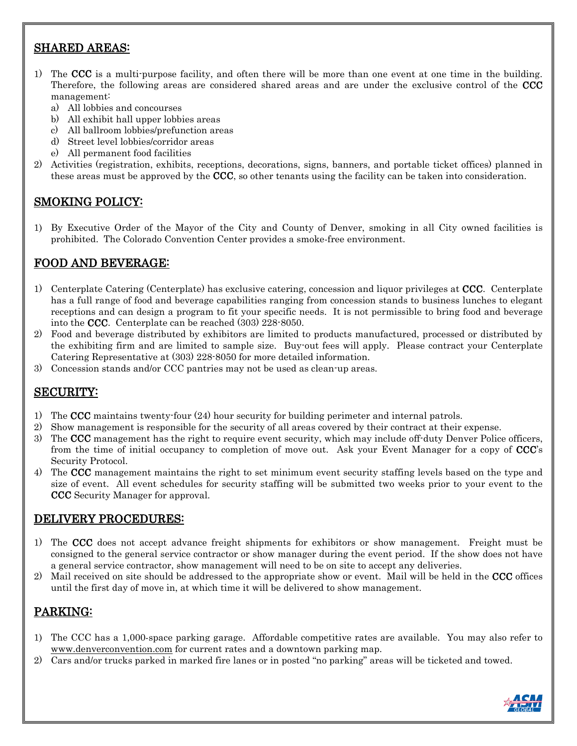# SHARED AREAS:

- 1) The CCC is a multi-purpose facility, and often there will be more than one event at one time in the building. Therefore, the following areas are considered shared areas and are under the exclusive control of the CCC management:
	- a) All lobbies and concourses
	- b) All exhibit hall upper lobbies areas
	- c) All ballroom lobbies/prefunction areas
	- d) Street level lobbies/corridor areas
	- e) All permanent food facilities
- 2) Activities (registration, exhibits, receptions, decorations, signs, banners, and portable ticket offices) planned in these areas must be approved by the CCC, so other tenants using the facility can be taken into consideration.

## SMOKING POLICY:

1) By Executive Order of the Mayor of the City and County of Denver, smoking in all City owned facilities is prohibited. The Colorado Convention Center provides a smoke-free environment.

## FOOD AND BEVERAGE:

- 1) Centerplate Catering (Centerplate) has exclusive catering, concession and liquor privileges at CCC. Centerplate has a full range of food and beverage capabilities ranging from concession stands to business lunches to elegant receptions and can design a program to fit your specific needs. It is not permissible to bring food and beverage into the CCC. Centerplate can be reached (303) 228-8050.
- 2) Food and beverage distributed by exhibitors are limited to products manufactured, processed or distributed by the exhibiting firm and are limited to sample size. Buy-out fees will apply. Please contract your Centerplate Catering Representative at (303) 228-8050 for more detailed information.
- 3) Concession stands and/or CCC pantries may not be used as clean-up areas.

## SECURITY:

- 1) The CCC maintains twenty-four (24) hour security for building perimeter and internal patrols.
- 2) Show management is responsible for the security of all areas covered by their contract at their expense.
- 3) The CCC management has the right to require event security, which may include off-duty Denver Police officers, from the time of initial occupancy to completion of move out. Ask your Event Manager for a copy of CCC's Security Protocol.
- 4) The CCC management maintains the right to set minimum event security staffing levels based on the type and size of event. All event schedules for security staffing will be submitted two weeks prior to your event to the CCC Security Manager for approval.

#### DELIVERY PROCEDURES:

- 1) The CCC does not accept advance freight shipments for exhibitors or show management. Freight must be consigned to the general service contractor or show manager during the event period. If the show does not have a general service contractor, show management will need to be on site to accept any deliveries.
- 2) Mail received on site should be addressed to the appropriate show or event. Mail will be held in the CCC offices until the first day of move in, at which time it will be delivered to show management.

# PARKING:

- 1) The CCC has a 1,000-space parking garage. Affordable competitive rates are available. You may also refer to [www.denverconvention.com](http://www.denverconvention.com/) for current rates and a downtown parking map.
- 2) Cars and/or trucks parked in marked fire lanes or in posted "no parking" areas will be ticketed and towed.

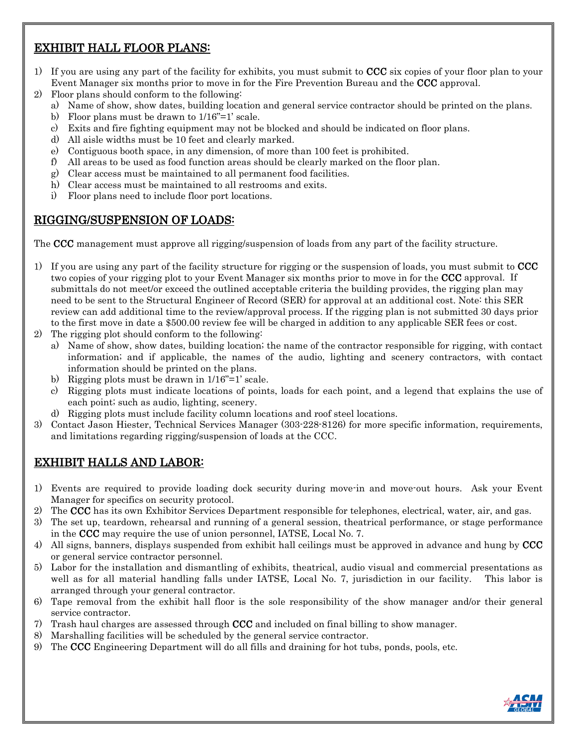# EXHIBIT HALL FLOOR PLANS:

- 1) If you are using any part of the facility for exhibits, you must submit to  $CCC$  six copies of your floor plan to your Event Manager six months prior to move in for the Fire Prevention Bureau and the CCC approval.
- 2) Floor plans should conform to the following:
	- a) Name of show, show dates, building location and general service contractor should be printed on the plans.
	- b) Floor plans must be drawn to 1/16"=1' scale.
	- c) Exits and fire fighting equipment may not be blocked and should be indicated on floor plans.
	- d) All aisle widths must be 10 feet and clearly marked.
	- e) Contiguous booth space, in any dimension, of more than 100 feet is prohibited.
	- f) All areas to be used as food function areas should be clearly marked on the floor plan.
	- g) Clear access must be maintained to all permanent food facilities.
	- h) Clear access must be maintained to all restrooms and exits.
	- i) Floor plans need to include floor port locations.

## RIGGING/SUSPENSION OF LOADS:

The CCC management must approve all rigging/suspension of loads from any part of the facility structure.

- 1) If you are using any part of the facility structure for rigging or the suspension of loads, you must submit to CCC two copies of your rigging plot to your Event Manager six months prior to move in for the CCC approval. If submittals do not meet/or exceed the outlined acceptable criteria the building provides, the rigging plan may need to be sent to the Structural Engineer of Record (SER) for approval at an additional cost. Note: this SER review can add additional time to the review/approval process. If the rigging plan is not submitted 30 days prior to the first move in date a \$500.00 review fee will be charged in addition to any applicable SER fees or cost.
- 2) The rigging plot should conform to the following:
	- a) Name of show, show dates, building location; the name of the contractor responsible for rigging, with contact information; and if applicable, the names of the audio, lighting and scenery contractors, with contact information should be printed on the plans.
	- b) Rigging plots must be drawn in 1/16"=1' scale.
	- c) Rigging plots must indicate locations of points, loads for each point, and a legend that explains the use of each point; such as audio, lighting, scenery.
	- d) Rigging plots must include facility column locations and roof steel locations.
- 3) Contact Jason Hiester, Technical Services Manager (303-228-8126) for more specific information, requirements, and limitations regarding rigging/suspension of loads at the CCC.

# EXHIBIT HALLS AND LABOR:

- 1) Events are required to provide loading dock security during move-in and move-out hours. Ask your Event Manager for specifics on security protocol.
- 2) The CCC has its own Exhibitor Services Department responsible for telephones, electrical, water, air, and gas.
- 3) The set up, teardown, rehearsal and running of a general session, theatrical performance, or stage performance in the CCC may require the use of union personnel, IATSE, Local No. 7.
- 4) All signs, banners, displays suspended from exhibit hall ceilings must be approved in advance and hung by CCC or general service contractor personnel.
- 5) Labor for the installation and dismantling of exhibits, theatrical, audio visual and commercial presentations as well as for all material handling falls under IATSE, Local No. 7, jurisdiction in our facility. This labor is arranged through your general contractor.
- 6) Tape removal from the exhibit hall floor is the sole responsibility of the show manager and/or their general service contractor.
- 7) Trash haul charges are assessed through CCC and included on final billing to show manager.
- 8) Marshalling facilities will be scheduled by the general service contractor.
- 9) The CCC Engineering Department will do all fills and draining for hot tubs, ponds, pools, etc.